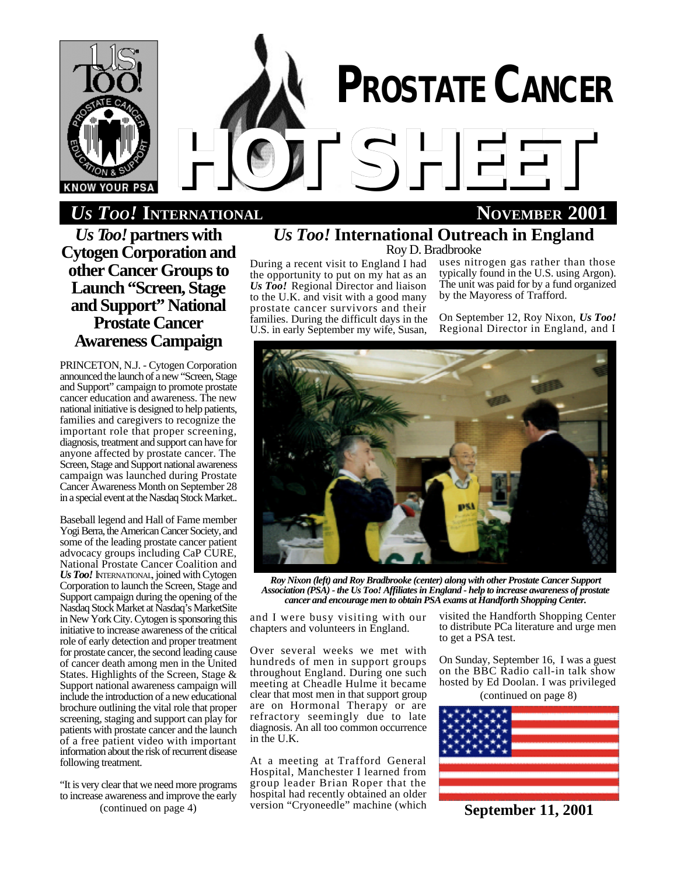

# *HOTSHEET US TOO!* **INTERNATIONAL NOVEMBER 2001**

*Us Too!* **partners with Cytogen Corporation and other Cancer Groups to Launch "Screen, Stage and Support" National Prostate Cancer Awareness Campaign**

PRINCETON, N.J. - Cytogen Corporation announced the launch of a new "Screen, Stage and Support" campaign to promote prostate cancer education and awareness. The new national initiative is designed to help patients, families and caregivers to recognize the important role that proper screening, diagnosis, treatment and support can have for anyone affected by prostate cancer. The Screen, Stage and Support national awareness campaign was launched during Prostate Cancer Awareness Month on September 28 in a special event at the Nasdaq Stock Market..

Baseball legend and Hall of Fame member Yogi Berra, the American Cancer Society, and some of the leading prostate cancer patient advocacy groups including CaP CURE, National Prostate Cancer Coalition and *Us Too!* INTERNATIONAL, joined with Cytogen Corporation to launch the Screen, Stage and Support campaign during the opening of the Nasdaq Stock Market at Nasdaq's MarketSite in New York City. Cytogen is sponsoring this initiative to increase awareness of the critical role of early detection and proper treatment for prostate cancer, the second leading cause of cancer death among men in the United States. Highlights of the Screen, Stage & Support national awareness campaign will include the introduction of a new educational brochure outlining the vital role that proper screening, staging and support can play for patients with prostate cancer and the launch of a free patient video with important information about the risk of recurrent disease following treatment.

"It is very clear that we need more programs to increase awareness and improve the early (continued on page 4)

# *Us Too!* **International Outreach in England**

Roy D. Bradbrooke

**PROSTATE CANCER**

During a recent visit to England I had the opportunity to put on my hat as an *Us Too!* Regional Director and liaison to the U.K. and visit with a good many prostate cancer survivors and their families. During the difficult days in the U.S. in early September my wife, Susan,

uses nitrogen gas rather than those typically found in the U.S. using Argon). The unit was paid for by a fund organized by the Mayoress of Trafford.

On September 12, Roy Nixon, *Us Too!* Regional Director in England, and I



*Roy Nixon (left) and Roy Bradbrooke (center) along with other Prostate Cancer Support Association (PSA) - the Us Too! Affiliates in England - help to increase awareness of prostate cancer and encourage men to obtain PSA exams at Handforth Shopping Center.*

and I were busy visiting with our chapters and volunteers in England.

Over several weeks we met with hundreds of men in support groups throughout England. During one such meeting at Cheadle Hulme it became clear that most men in that support group are on Hormonal Therapy or are refractory seemingly due to late diagnosis. An all too common occurrence in the U.K.

At a meeting at Trafford General Hospital, Manchester I learned from group leader Brian Roper that the hospital had recently obtained an older version "Cryoneedle" machine (which

visited the Handforth Shopping Center to distribute PCa literature and urge men to get a PSA test.

On Sunday, September 16, I was a guest on the BBC Radio call-in talk show hosted by Ed Doolan. I was privileged (continued on page 8)



**September 11, 2001**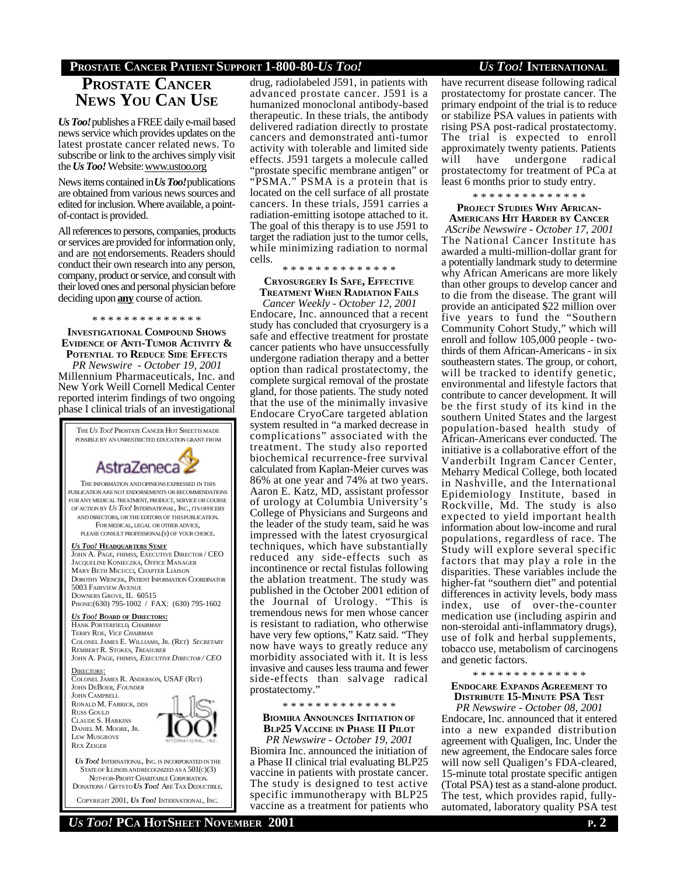### **PROSTATE CANCER PATIENT SUPPORT 1-800-80-***US TOO! US TOO!* **INTERNATIONAL**

## **PROSTATE CANCER NEWS YOU CAN USE**

*Us Too!*publishes a FREE daily e-mail based news service which provides updates on the latest prostate cancer related news. To subscribe or link to the archives simply visit the *Us Too!* Website: www.ustoo.org

News items contained in *Us Too!*publications are obtained from various news sources and edited for inclusion. Where available, a pointof-contact is provided.

All references to persons, companies, products or services are provided for information only, and are not endorsements. Readers should conduct their own research into any person, company, product or service, and consult with their loved ones and personal physician before deciding upon **any** course of action.

### \* \* \* \* \* \* \* \* \* \* \* \* \* \*

**INVESTIGATIONAL COMPOUND SHOWS EVIDENCE OF ANTI-TUMOR ACTIVITY & POTENTIAL TO REDUCE SIDE EFFECTS**

*PR Newswire - October 19, 2001* Millennium Pharmaceuticals, Inc. and New York Weill Cornell Medical Center reported interim findings of two ongoing phase I clinical trials of an investigational

THE*US TOO!* PROSTATE CANCER HOT SHEETIS MADE POSSIBLE BY AN UNRESTRICTED EDUCATION GRANT FROM AstraZeneca THE INFORMATION ANDOPINIONSEXPRESSED IN THIS PUBLICATION ARE NOT ENDORSEMENTS OR RECOMMENDATIONS FOR ANY MEDICAL TREATMENT, PRODUCT, SERVICE OR COURSE OF ACTION BY *US TOO!* INTERNATIONAL, INC., ITS OFFICERS AND DIRECTORS, OR THE EDITORS OF THISPUBLICATION. FOR MEDICAL, LEGAL OR OTHER ADVICE, PLEASE CONSULT PROFESSIONAL(S) OF YOUR CHOICE. *US TOO!* **HEADQUARTERS STAFF** JOHN A. PAGE, FHIMSS, EXECUTIVE DIRECTOR / CEO JACQUELINE KONIECZKA, OFFICE MANAGER MARY BETH MICUCCI, CHAPTER LIAISON DOROTHY WIENCEK, PATIENT INFORMATION COORDINATOR 5003 FAIRVIEW AVENUE DOWNERS GROVE, IL 60515 PHONE:(630) 795-1002 / FAX: (630) 795-1602 *US TOO!* **BOARD OF DIRECTORS:** HANK PORTERFIELD, *CHAIRMAN* TERRY ROE, *VICE CHAIRMAN* COLONEL JAMES E. WILLIAMS, JR. (RET) *SECRETARY* REMBERT R. STOKES, *TREASURER* JOHN A. PAGE, FHIMSS, *EXECUTIVE DIRECTOR / CEO* DIRECTORS: COLONEL JAMES R. ANDERSON, USAF (RET) JOHN DEBOER, *FOUNDER* JOHN CAMPBELL RONALD M. FABRICK, DDS RUSS GOULD CLAUDE S. HARKINS DANIEL M. MOORE, JR. LEW MUSGROVE REX ZEIGER

*US TOO!* INTERNATIONAL, INC. IS INCORPORATED IN THE STATE OF ILLINOIS AND RECOGNIZED AS A  $501(c)(3)$  NOT-FOR-PROFIT CHARITABLE CORPORATION. DONATIONS / GIFTSTO *US TOO!* ARE TAX DEDUCTIBLE.

COPYRIGHT 2001, *US TOO!* INTERNATIONAL, INC.

drug, radiolabeled J591, in patients with advanced prostate cancer. J591 is a humanized monoclonal antibody-based therapeutic. In these trials, the antibody delivered radiation directly to prostate cancers and demonstrated anti-tumor activity with tolerable and limited side effects. J591 targets a molecule called "prostate specific membrane antigen" or "PSMA." PSMA is a protein that is located on the cell surface of all prostate cancers. In these trials, J591 carries a radiation-emitting isotope attached to it. The goal of this therapy is to use J591 to target the radiation just to the tumor cells, while minimizing radiation to normal cells.

### \* \* \* \* \* \* \* \* \* \* \* \* \* \*

**CRYOSURGERY IS SAFE, EFFECTIVE TREATMENT WHEN RADIATION FAILS**

*Cancer Weekly - October 12, 2001* Endocare, Inc. announced that a recent study has concluded that cryosurgery is a safe and effective treatment for prostate cancer patients who have unsuccessfully undergone radiation therapy and a better option than radical prostatectomy, the complete surgical removal of the prostate gland, for those patients. The study noted that the use of the minimally invasive Endocare CryoCare targeted ablation system resulted in "a marked decrease in complications" associated with the treatment. The study also reported biochemical recurrence-free survival calculated from Kaplan-Meier curves was 86% at one year and 74% at two years. Aaron E. Katz, MD, assistant professor of urology at Columbia University's College of Physicians and Surgeons and the leader of the study team, said he was impressed with the latest cryosurgical techniques, which have substantially reduced any side-effects such as incontinence or rectal fistulas following the ablation treatment. The study was published in the October 2001 edition of the Journal of Urology. "This is tremendous news for men whose cancer is resistant to radiation, who otherwise have very few options," Katz said. "They now have ways to greatly reduce any morbidity associated with it. It is less invasive and causes less trauma and fewer side-effects than salvage radical prostatectomy."

### \* \* \* \* \* \* \* \* \* \* \* \* \* \*

**BIOMIRA ANNOUNCES INITIATION OF BLP25 VACCINE IN PHASE II PILOT**

*PR Newswire - October 19, 2001* Biomira Inc. announced the initiation of a Phase II clinical trial evaluating BLP25 vaccine in patients with prostate cancer. The study is designed to test active specific immunotherapy with BLP25 vaccine as a treatment for patients who have recurrent disease following radical prostatectomy for prostate cancer. The primary endpoint of the trial is to reduce or stabilize PSA values in patients with rising PSA post-radical prostatectomy. The trial is expected to enroll approximately twenty patients. Patients will have undergone radical prostatectomy for treatment of PCa at least 6 months prior to study entry.

\* \* \* \* \* \* \* \* \* \* \* \* \* \*

### **PROJECT STUDIES WHY AFRICAN-**

**AMERICANS HIT HARDER BY CANCER** *AScribe Newswire - October 17, 2001* The National Cancer Institute has awarded a multi-million-dollar grant for a potentially landmark study to determine why African Americans are more likely than other groups to develop cancer and to die from the disease. The grant will provide an anticipated \$22 million over five years to fund the "Southern Community Cohort Study," which will enroll and follow 105,000 people - twothirds of them African-Americans - in six southeastern states. The group, or cohort, will be tracked to identify genetic, environmental and lifestyle factors that contribute to cancer development. It will be the first study of its kind in the southern United States and the largest population-based health study of African-Americans ever conducted. The initiative is a collaborative effort of the Vanderbilt Ingram Cancer Center, Meharry Medical College, both located in Nashville, and the International Epidemiology Institute, based in Rockville, Md. The study is also expected to yield important health information about low-income and rural populations, regardless of race. The Study will explore several specific factors that may play a role in the disparities. These variables include the higher-fat "southern diet" and potential differences in activity levels, body mass index, use of over-the-counter medication use (including aspirin and non-steroidal anti-inflammatory drugs), use of folk and herbal supplements, tobacco use, metabolism of carcinogens and genetic factors.

\* \* \* \* \* \* \* \* \* \* \* \* \* \*

### **ENDOCARE EXPANDS AGREEMENT TO DISTRIBUTE 15-MINUTE PSA TEST**

*PR Newswire - October 08, 2001* Endocare, Inc. announced that it entered into a new expanded distribution agreement with Qualigen, Inc. Under the new agreement, the Endocare sales force will now sell Qualigen's FDA-cleared, 15-minute total prostate specific antigen (Total PSA) test as a stand-alone product. The test, which provides rapid, fullyautomated, laboratory quality PSA test

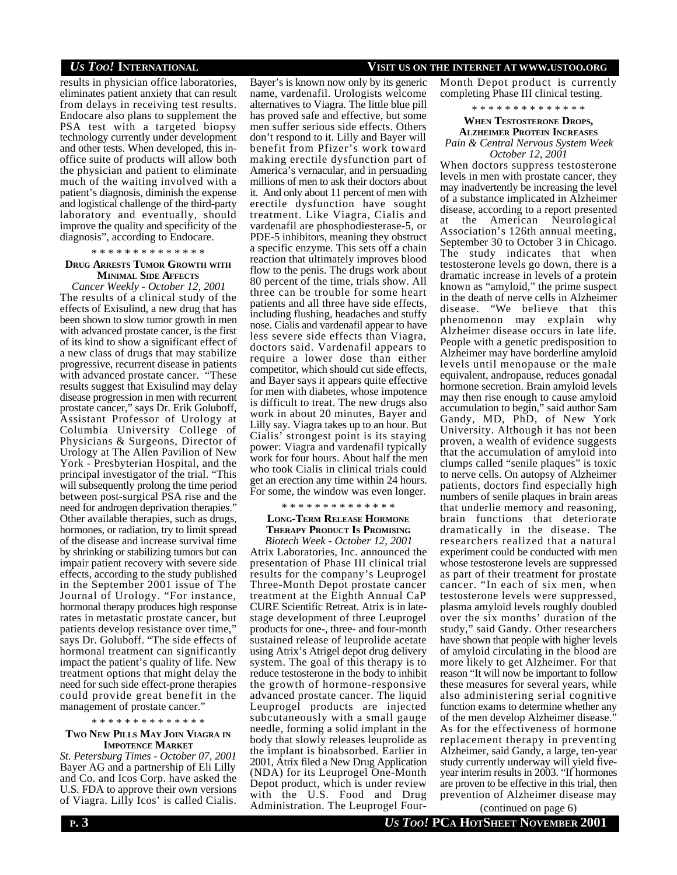results in physician office laboratories, eliminates patient anxiety that can result from delays in receiving test results. Endocare also plans to supplement the PSA test with a targeted biopsy technology currently under development and other tests. When developed, this inoffice suite of products will allow both the physician and patient to eliminate much of the waiting involved with a patient's diagnosis, diminish the expense and logistical challenge of the third-party laboratory and eventually, should improve the quality and specificity of the diagnosis", according to Endocare.

### \* \* \* \* \* \* \* \* \* \* \* \* \* \*

### **DRUG ARRESTS TUMOR GROWTH WITH MINIMAL SIDE AFFECTS**

*Cancer Weekly - October 12, 2001* The results of a clinical study of the effects of Exisulind, a new drug that has been shown to slow tumor growth in men with advanced prostate cancer, is the first of its kind to show a significant effect of a new class of drugs that may stabilize progressive, recurrent disease in patients with advanced prostate cancer. "These results suggest that Exisulind may delay disease progression in men with recurrent prostate cancer," says Dr. Erik Goluboff, Assistant Professor of Urology at Columbia University College of Physicians & Surgeons, Director of Urology at The Allen Pavilion of New York - Presbyterian Hospital, and the principal investigator of the trial. "This will subsequently prolong the time period between post-surgical PSA rise and the need for androgen deprivation therapies." Other available therapies, such as drugs, hormones, or radiation, try to limit spread of the disease and increase survival time by shrinking or stabilizing tumors but can impair patient recovery with severe side effects, according to the study published in the September 2001 issue of The Journal of Urology. "For instance, hormonal therapy produces high response rates in metastatic prostate cancer, but patients develop resistance over time," says Dr. Goluboff. "The side effects of hormonal treatment can significantly impact the patient's quality of life. New treatment options that might delay the need for such side effect-prone therapies could provide great benefit in the management of prostate cancer."

### \* \* \* \* \* \* \* \* \* \* \* \* \* \*

### **TWO NEW PILLS MAY JOIN VIAGRA IN IMPOTENCE MARKET**

*St. Petersburg Times - October 07, 2001* Bayer AG and a partnership of Eli Lilly and Co. and Icos Corp. have asked the U.S. FDA to approve their own versions of Viagra. Lilly Icos' is called Cialis.

### Bayer's is known now only by its generic name, vardenafil. Urologists welcome alternatives to Viagra. The little blue pill has proved safe and effective, but some men suffer serious side effects. Others don't respond to it. Lilly and Bayer will benefit from Pfizer's work toward making erectile dysfunction part of America's vernacular, and in persuading millions of men to ask their doctors about it. And only about 11 percent of men with erectile dysfunction have sought treatment. Like Viagra, Cialis and vardenafil are phosphodiesterase-5, or PDE-5 inhibitors, meaning they obstruct a specific enzyme. This sets off a chain reaction that ultimately improves blood flow to the penis. The drugs work about 80 percent of the time, trials show. All three can be trouble for some heart patients and all three have side effects, including flushing, headaches and stuffy nose. Cialis and vardenafil appear to have less severe side effects than Viagra, doctors said. Vardenafil appears to require a lower dose than either competitor, which should cut side effects, and Bayer says it appears quite effective for men with diabetes, whose impotence is difficult to treat. The new drugs also work in about 20 minutes, Bayer and Lilly say. Viagra takes up to an hour. But Cialis' strongest point is its staying power: Viagra and vardenafil typically work for four hours. About half the men who took Cialis in clinical trials could get an erection any time within 24 hours. For some, the window was even longer.

### \* \* \* \* \* \* \* \* \* \* \* \* \* \*

### **LONG-TERM RELEASE HORMONE THERAPY PRODUCT IS PROMISING**

*Biotech Week - October 12, 2001* Atrix Laboratories, Inc. announced the presentation of Phase III clinical trial results for the company's Leuprogel Three-Month Depot prostate cancer treatment at the Eighth Annual CaP CURE Scientific Retreat. Atrix is in latestage development of three Leuprogel products for one-, three- and four-month sustained release of leuprolide acetate using Atrix's Atrigel depot drug delivery system. The goal of this therapy is to reduce testosterone in the body to inhibit the growth of hormone-responsive advanced prostate cancer. The liquid Leuprogel products are injected subcutaneously with a small gauge needle, forming a solid implant in the body that slowly releases leuprolide as the implant is bioabsorbed. Earlier in 2001, Atrix filed a New Drug Application (NDA) for its Leuprogel One-Month Depot product, which is under review with the U.S. Food and Drug Administration. The Leuprogel Four-

### *US TOO!* **INTERNATIONAL VISIT US ON THE INTERNET AT WWW.USTOO.ORG**

Month Depot product is currently completing Phase III clinical testing.

### \* \* \* \* \* \* \* \* \* \* \* \* \* \*

### **WHEN TESTOSTERONE DROPS, ALZHEIMER PROTEIN INCREASES** *Pain & Central Nervous System Week October 12, 2001*

When doctors suppress testosterone levels in men with prostate cancer, they may inadvertently be increasing the level of a substance implicated in Alzheimer disease, according to a report presented at the American Neurological Association's 126th annual meeting, September 30 to October 3 in Chicago. The study indicates that when testosterone levels go down, there is a dramatic increase in levels of a protein known as "amyloid," the prime suspect in the death of nerve cells in Alzheimer disease. "We believe that this phenomenon may explain why Alzheimer disease occurs in late life. People with a genetic predisposition to Alzheimer may have borderline amyloid levels until menopause or the male equivalent, andropause, reduces gonadal hormone secretion. Brain amyloid levels may then rise enough to cause amyloid accumulation to begin," said author Sam Gandy, MD, PhD, of New York University. Although it has not been proven, a wealth of evidence suggests that the accumulation of amyloid into clumps called "senile plaques" is toxic to nerve cells. On autopsy of Alzheimer patients, doctors find especially high numbers of senile plaques in brain areas that underlie memory and reasoning, brain functions that deteriorate dramatically in the disease. The researchers realized that a natural experiment could be conducted with men whose testosterone levels are suppressed as part of their treatment for prostate cancer. "In each of six men, when testosterone levels were suppressed, plasma amyloid levels roughly doubled over the six months' duration of the study," said Gandy. Other researchers have shown that people with higher levels of amyloid circulating in the blood are more likely to get Alzheimer. For that reason "It will now be important to follow these measures for several years, while also administering serial cognitive function exams to determine whether any of the men develop Alzheimer disease." As for the effectiveness of hormone replacement therapy in preventing Alzheimer, said Gandy, a large, ten-year study currently underway will yield fiveyear interim results in 2003. "If hormones are proven to be effective in this trial, then prevention of Alzheimer disease may

(continued on page 6)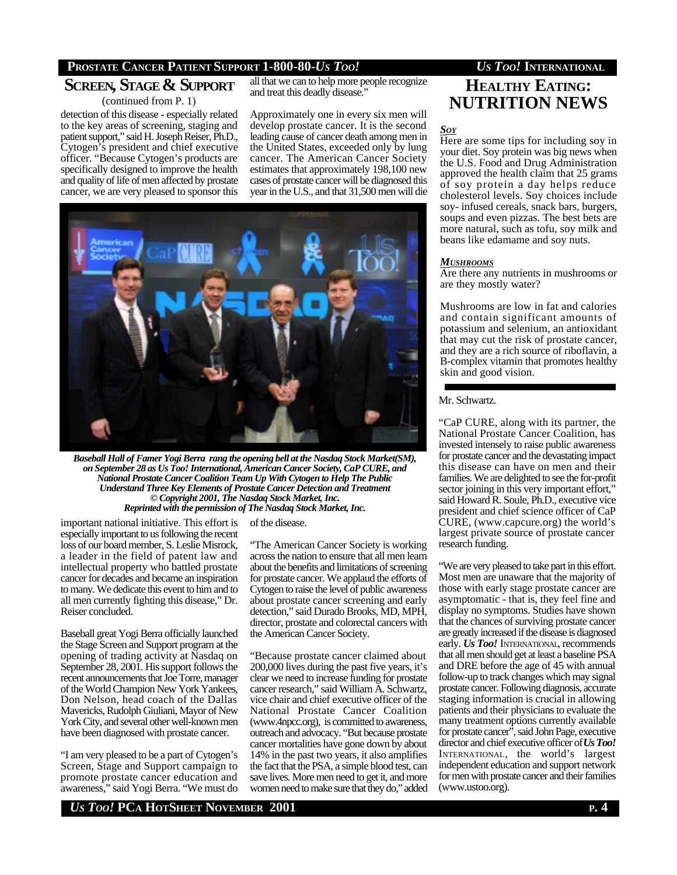### **PROSTATE CANCER PATIENT SUPPORT 1-800-80-***US TOO! US TOO!* **INTERNATIONAL**

# **SCREEN, STAGE & SUPPORT**

(continued from P. 1) detection of this disease - especially related to the key areas of screening, staging and patient support," said H. Joseph Reiser, Ph.D., Cytogen's president and chief executive officer. "Because Cytogen's products are specifically designed to improve the health

and quality of life of men affected by prostate cancer, we are very pleased to sponsor this all that we can to help more people recognize and treat this deadly disease."

Approximately one in every six men will develop prostate cancer. It is the second leading cause of cancer death among men in the United States, exceeded only by lung cancer. The American Cancer Society estimates that approximately 198,100 new cases of prostate cancer will be diagnosed this year in the U.S., and that 31,500 men will die



*Baseball Hall of Famer Yogi Berra rang the opening bell at the Nasdaq Stock Market(SM), on September 28 as Us Too! International, American Cancer Society, CaP CURE, and National Prostate Cancer Coalition Team Up With Cytogen to Help The Public Understand Three Key Elements of Prostate Cancer Detection and Treatment © Copyright 2001, The Nasdaq Stock Market, Inc. Reprinted with the permission of The Nasdaq Stock Market, Inc.*

of the disease.

important national initiative. This effort is especially important to us following the recent loss of our board member, S. Leslie Misrock, a leader in the field of patent law and intellectual property who battled prostate cancer for decades and became an inspiration to many. We dedicate this event to him and to all men currently fighting this disease," Dr. Reiser concluded.

Baseball great Yogi Berra officially launched the Stage Screen and Support program at the opening of trading activity at Nasdaq on September 28, 2001. His support follows the recent announcements that Joe Torre, manager of the World Champion New York Yankees, Don Nelson, head coach of the Dallas Mavericks, Rudolph Giuliani, Mayor of New York City, and several other well-known men have been diagnosed with prostate cancer.

"I am very pleased to be a part of Cytogen's Screen, Stage and Support campaign to promote prostate cancer education and awareness," said Yogi Berra. "We must do

"The American Cancer Society is working across the nation to ensure that all men learn about the benefits and limitations of screening for prostate cancer. We applaud the efforts of Cytogen to raise the level of public awareness about prostate cancer screening and early detection," said Durado Brooks, MD, MPH, director, prostate and colorectal cancers with the American Cancer Society.

"Because prostate cancer claimed about 200,000 lives during the past five years, it's clear we need to increase funding for prostate cancer research," said William A. Schwartz, vice chair and chief executive officer of the National Prostate Cancer Coalition (www.4npcc.org), is committed to awareness, outreach and advocacy. "But because prostate cancer mortalities have gone down by about 14% in the past two years, it also amplifies the fact that the PSA, a simple blood test, can save lives. More men need to get it, and more women need to make sure that they do," added

# **HEALTHY EATING: NUTRITION NEWS**

*SOY*

Here are some tips for including soy in your diet. Soy protein was big news when the U.S. Food and Drug Administration approved the health claim that 25 grams of soy protein a day helps reduce cholesterol levels. Soy choices include soy- infused cereals, snack bars, burgers, soups and even pizzas. The best bets are more natural, such as tofu, soy milk and beans like edamame and soy nuts.

### *MUSHROOMS*

Are there any nutrients in mushrooms or are they mostly water?

Mushrooms are low in fat and calories and contain significant amounts of potassium and selenium, an antioxidant that may cut the risk of prostate cancer, and they are a rich source of riboflavin, a B-complex vitamin that promotes healthy skin and good vision.

### Mr. Schwartz.

"CaP CURE, along with its partner, the National Prostate Cancer Coalition, has invested intensely to raise public awareness for prostate cancer and the devastating impact this disease can have on men and their families. We are delighted to see the for-profit sector joining in this very important effort," said Howard R. Soule, Ph.D., executive vice president and chief science officer of CaP CURE, (www.capcure.org) the world's largest private source of prostate cancer research funding.

"We are very pleased to take part in this effort. Most men are unaware that the majority of those with early stage prostate cancer are asymptomatic - that is, they feel fine and display no symptoms. Studies have shown that the chances of surviving prostate cancer are greatly increased if the disease is diagnosed early. *Us Too!* INTERNATIONAL, recommends that all men should get at least a baseline PSA and DRE before the age of 45 with annual follow-up to track changes which may signal prostate cancer. Following diagnosis, accurate staging information is crucial in allowing patients and their physicians to evaluate the many treatment options currently available for prostate cancer", said John Page, executive director and chief executive officer of *Us Too!* INTERNATIONAL, the world's largest independent education and support network for men with prostate cancer and their families (www.ustoo.org).

*US TOO!* **PCA HOTSHEET NOVEMBER 2001 P. 4**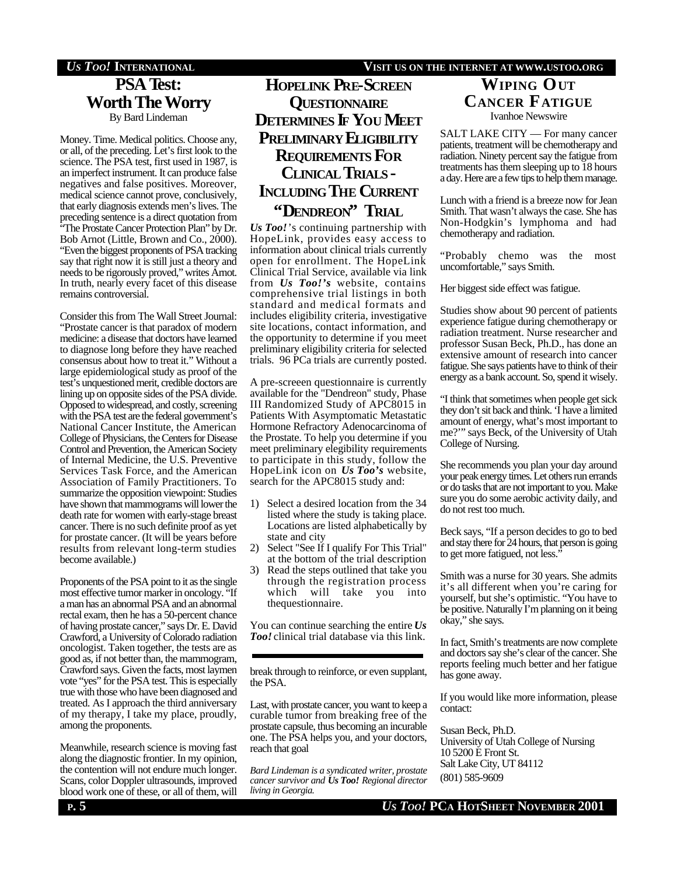### *US TOO!* **INTERNATIONAL VISIT US ON THE INTERNET AT WWW.USTOO.ORG**

# **PSA Test: Worth The Worry** By Bard Lindeman

Money. Time. Medical politics. Choose any, or all, of the preceding. Let's first look to the science. The PSA test, first used in 1987, is an imperfect instrument. It can produce false negatives and false positives. Moreover, medical science cannot prove, conclusively, that early diagnosis extends men's lives. The preceding sentence is a direct quotation from The Prostate Cancer Protection Plan" by Dr. Bob Arnot (Little, Brown and Co., 2000). "Even the biggest proponents of PSA tracking say that right now it is still just a theory and needs to be rigorously proved," writes Arnot. In truth, nearly every facet of this disease remains controversial.

Consider this from The Wall Street Journal: "Prostate cancer is that paradox of modern medicine: a disease that doctors have learned to diagnose long before they have reached consensus about how to treat it." Without a large epidemiological study as proof of the test's unquestioned merit, credible doctors are lining up on opposite sides of the PSA divide. Opposed to widespread, and costly, screening with the PSA test are the federal government's National Cancer Institute, the American College of Physicians, the Centers for Disease Control and Prevention, the American Society of Internal Medicine, the U.S. Preventive Services Task Force, and the American Association of Family Practitioners. To summarize the opposition viewpoint: Studies have shown that mammograms will lower the death rate for women with early-stage breast cancer. There is no such definite proof as yet for prostate cancer. (It will be years before results from relevant long-term studies become available.)

Proponents of the PSA point to it as the single most effective tumor marker in oncology. "If a man has an abnormal PSA and an abnormal rectal exam, then he has a 50-percent chance of having prostate cancer," says Dr. E. David Crawford, a University of Colorado radiation oncologist. Taken together, the tests are as good as, if not better than, the mammogram, Crawford says. Given the facts, most laymen vote "yes" for the PSA test. This is especially true with those who have been diagnosed and treated. As I approach the third anniversary of my therapy, I take my place, proudly, among the proponents.

Meanwhile, research science is moving fast along the diagnostic frontier. In my opinion, the contention will not endure much longer. Scans, color Doppler ultrasounds, improved blood work one of these, or all of them, will

**HOPELINK PRE-SCREEN QUESTIONNAIRE DETERMINES IF YOU MEET PRELIMINARY ELIGIBILITY REQUIREMENTS FOR CLINICAL TRIALS - INCLUDING THE CURRENT "DENDREON" TRIAL**

*Us Too!*'s continuing partnership with HopeLink, provides easy access to information about clinical trials currently open for enrollment. The HopeLink Clinical Trial Service, available via link from *Us Too!'s* website, contains comprehensive trial listings in both standard and medical formats and includes eligibility criteria, investigative site locations, contact information, and the opportunity to determine if you meet preliminary eligibility criteria for selected trials. 96 PCa trials are currently posted.

A pre-screeen questionnaire is currently available for the "Dendreon" study, Phase III Randomized Study of APC8015 in Patients With Asymptomatic Metastatic Hormone Refractory Adenocarcinoma of the Prostate. To help you determine if you meet preliminary elegibility requirements to participate in this study, follow the HopeLink icon on *Us Too's* website, search for the APC8015 study and:

- 1) Select a desired location from the 34 listed where the study is taking place. Locations are listed alphabetically by state and city
- 2) Select "See If I qualify For This Trial" at the bottom of the trial description
- 3) Read the steps outlined that take you through the registration process which will take you into thequestionnaire.

You can continue searching the entire *Us Too!* clinical trial database via this link.

break through to reinforce, or even supplant, the PSA.

Last, with prostate cancer, you want to keep a curable tumor from breaking free of the prostate capsule, thus becoming an incurable one. The PSA helps you, and your doctors, reach that goal

*Bard Lindeman is a syndicated writer, prostate cancer survivor and Us Too! Regional director living in Georgia.*

### **WIPING OUT CANCER FATIGUE** Ivanhoe Newswire

SALT LAKE CITY — For many cancer patients, treatment will be chemotherapy and radiation. Ninety percent say the fatigue from treatments has them sleeping up to 18 hours a day. Here are a few tips to help them manage.

Lunch with a friend is a breeze now for Jean Smith. That wasn't always the case. She has Non-Hodgkin's lymphoma and had chemotherapy and radiation.

"Probably chemo was the most uncomfortable," says Smith.

Her biggest side effect was fatigue.

Studies show about 90 percent of patients experience fatigue during chemotherapy or radiation treatment. Nurse researcher and professor Susan Beck, Ph.D., has done an extensive amount of research into cancer fatigue. She says patients have to think of their energy as a bank account. So, spend it wisely.

"I think that sometimes when people get sick they don't sit back and think. 'I have a limited amount of energy, what's most important to me?'" says Beck, of the University of Utah College of Nursing.

She recommends you plan your day around your peak energy times. Let others run errands or do tasks that are not important to you. Make sure you do some aerobic activity daily, and do not rest too much.

Beck says, "If a person decides to go to bed and stay there for 24 hours, that person is going to get more fatigued, not less."

Smith was a nurse for 30 years. She admits it's all different when you're caring for yourself, but she's optimistic. "You have to be positive. Naturally I'm planning on it being okay," she says.

In fact, Smith's treatments are now complete and doctors say she's clear of the cancer. She reports feeling much better and her fatigue has gone away.

If you would like more information, please contact:

Susan Beck, Ph.D. University of Utah College of Nursing 10 5200 E Front St. Salt Lake City, UT 84112 (801) 585-9609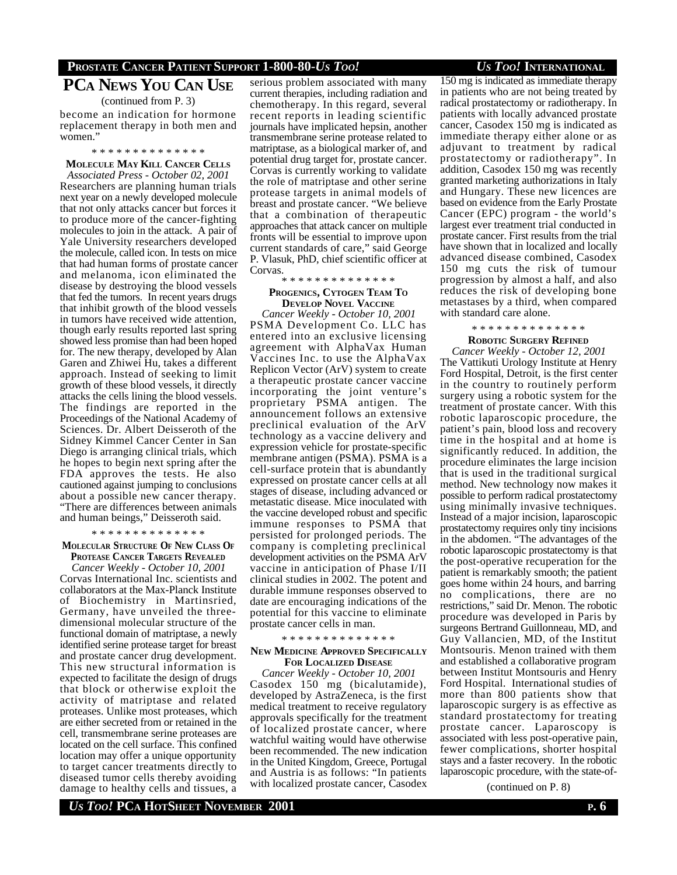### **PROSTATE CANCER PATIENT SUPPORT 1-800-80-***US TOO! US TOO!* **INTERNATIONAL**

# **PCA NEWS YOU CAN USE**

(continued from P. 3)

become an indication for hormone replacement therapy in both men and women."

### \* \* \* \* \* \* \* \* \* \* \* \* \* \*

**MOLECULE MAY KILL CANCER CELLS**

*Associated Press - October 02, 2001* Researchers are planning human trials next year on a newly developed molecule that not only attacks cancer but forces it to produce more of the cancer-fighting molecules to join in the attack. A pair of Yale University researchers developed the molecule, called icon. In tests on mice that had human forms of prostate cancer and melanoma, icon eliminated the disease by destroying the blood vessels that fed the tumors. In recent years drugs that inhibit growth of the blood vessels in tumors have received wide attention, though early results reported last spring showed less promise than had been hoped for. The new therapy, developed by Alan Garen and Zhiwei Hu, takes a different approach. Instead of seeking to limit growth of these blood vessels, it directly attacks the cells lining the blood vessels. The findings are reported in the Proceedings of the National Academy of Sciences. Dr. Albert Deisseroth of the Sidney Kimmel Cancer Center in San Diego is arranging clinical trials, which he hopes to begin next spring after the FDA approves the tests. He also cautioned against jumping to conclusions about a possible new cancer therapy. "There are differences between animals and human beings," Deisseroth said.

### \* \* \* \* \* \* \* \* \* \* \* \* \* \*

### **MOLECULAR STRUCTURE OF NEW CLASS O<sup>F</sup> PROTEASE CANCER TARGETS REVEALED**

*Cancer Weekly - October 10, 2001* Corvas International Inc. scientists and collaborators at the Max-Planck Institute of Biochemistry in Martinsried, Germany, have unveiled the threedimensional molecular structure of the functional domain of matriptase, a newly identified serine protease target for breast and prostate cancer drug development. This new structural information is expected to facilitate the design of drugs that block or otherwise exploit the activity of matriptase and related proteases. Unlike most proteases, which are either secreted from or retained in the cell, transmembrane serine proteases are located on the cell surface. This confined location may offer a unique opportunity to target cancer treatments directly to diseased tumor cells thereby avoiding damage to healthy cells and tissues, a

serious problem associated with many current therapies, including radiation and chemotherapy. In this regard, several recent reports in leading scientific journals have implicated hepsin, another transmembrane serine protease related to matriptase, as a biological marker of, and potential drug target for, prostate cancer. Corvas is currently working to validate the role of matriptase and other serine protease targets in animal models of breast and prostate cancer. "We believe that a combination of therapeutic approaches that attack cancer on multiple fronts will be essential to improve upon current standards of care," said George P. Vlasuk, PhD, chief scientific officer at Corvas.

### \* \* \* \* \* \* \* \* \* \* \* \* \* \*

### **PROGENICS, CYTOGEN TEAM T<sup>O</sup> DEVELOP NOVEL VACCINE**

*Cancer Weekly - October 10, 2001* PSMA Development Co. LLC has entered into an exclusive licensing agreement with AlphaVax Human Vaccines Inc. to use the AlphaVax Replicon Vector (ArV) system to create a therapeutic prostate cancer vaccine incorporating the joint venture's proprietary PSMA antigen. The announcement follows an extensive preclinical evaluation of the ArV technology as a vaccine delivery and expression vehicle for prostate-specific membrane antigen (PSMA). PSMA is a cell-surface protein that is abundantly expressed on prostate cancer cells at all stages of disease, including advanced or metastatic disease. Mice inoculated with the vaccine developed robust and specific immune responses to PSMA that persisted for prolonged periods. The company is completing preclinical development activities on the PSMA ArV vaccine in anticipation of Phase I/II clinical studies in 2002. The potent and durable immune responses observed to date are encouraging indications of the potential for this vaccine to eliminate prostate cancer cells in man.

### \* \* \* \* \* \* \* \* \* \* \* \* \* \*

### **NEW MEDICINE APPROVED SPECIFICALLY FOR LOCALIZED DISEASE**

*Cancer Weekly - October 10, 2001* Casodex 150 mg (bicalutamide), developed by AstraZeneca, is the first medical treatment to receive regulatory approvals specifically for the treatment of localized prostate cancer, where watchful waiting would have otherwise been recommended. The new indication in the United Kingdom, Greece, Portugal and Austria is as follows: "In patients with localized prostate cancer, Casodex

150 mg is indicated as immediate therapy in patients who are not being treated by radical prostatectomy or radiotherapy. In patients with locally advanced prostate cancer, Casodex 150 mg is indicated as immediate therapy either alone or as adjuvant to treatment by radical prostatectomy or radiotherapy". In addition, Casodex 150 mg was recently granted marketing authorizations in Italy and Hungary. These new licences are based on evidence from the Early Prostate Cancer (EPC) program - the world's largest ever treatment trial conducted in prostate cancer. First results from the trial have shown that in localized and locally advanced disease combined, Casodex 150 mg cuts the risk of tumour progression by almost a half, and also reduces the risk of developing bone metastases by a third, when compared with standard care alone.

### \* \* \* \* \* \* \* \* \* \* \* \* \* \*

### **ROBOTIC SURGERY REFINED**

*Cancer Weekly - October 12, 2001* The Vattikuti Urology Institute at Henry Ford Hospital, Detroit, is the first center in the country to routinely perform surgery using a robotic system for the treatment of prostate cancer. With this robotic laparoscopic procedure, the patient's pain, blood loss and recovery time in the hospital and at home is significantly reduced. In addition, the procedure eliminates the large incision that is used in the traditional surgical method. New technology now makes it possible to perform radical prostatectomy using minimally invasive techniques. Instead of a major incision, laparoscopic prostatectomy requires only tiny incisions in the abdomen. "The advantages of the robotic laparoscopic prostatectomy is that the post-operative recuperation for the patient is remarkably smooth; the patient goes home within 24 hours, and barring no complications, there are no restrictions," said Dr. Menon. The robotic procedure was developed in Paris by surgeons Bertrand Guillonneau, MD, and Guy Vallancien, MD, of the Institut Montsouris. Menon trained with them and established a collaborative program between Institut Montsouris and Henry Ford Hospital. International studies of more than 800 patients show that laparoscopic surgery is as effective as standard prostatectomy for treating prostate cancer. Laparoscopy is associated with less post-operative pain, fewer complications, shorter hospital stays and a faster recovery. In the robotic laparoscopic procedure, with the state-of-

(continued on P. 8)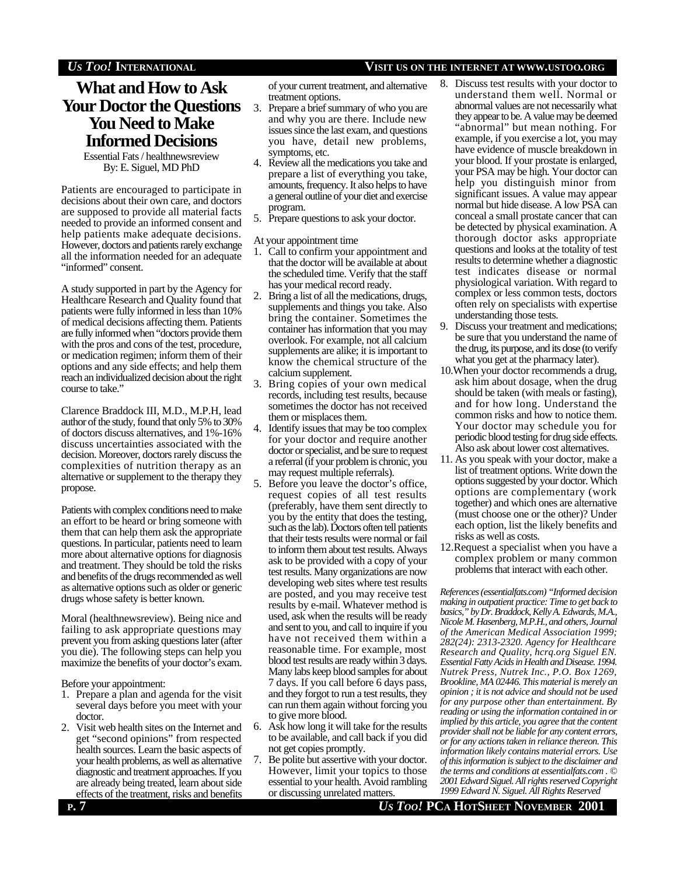### *US TOO!* **INTERNATIONAL VISIT US ON THE INTERNET AT WWW.USTOO.ORG**

# **What and How to Ask Your Doctor the Questions You Need to Make Informed Decisions**

Essential Fats / healthnewsreview By: E. Siguel, MD PhD

Patients are encouraged to participate in decisions about their own care, and doctors are supposed to provide all material facts needed to provide an informed consent and help patients make adequate decisions. However, doctors and patients rarely exchange all the information needed for an adequate "informed" consent.

A study supported in part by the Agency for Healthcare Research and Quality found that patients were fully informed in less than 10% of medical decisions affecting them. Patients are fully informed when "doctors provide them with the pros and cons of the test, procedure, or medication regimen; inform them of their options and any side effects; and help them reach an individualized decision about the right course to take."

Clarence Braddock III, M.D., M.P.H, lead author of the study, found that only 5% to 30% of doctors discuss alternatives, and 1%-16% discuss uncertainties associated with the decision. Moreover, doctors rarely discuss the complexities of nutrition therapy as an alternative or supplement to the therapy they propose.

Patients with complex conditions need to make an effort to be heard or bring someone with them that can help them ask the appropriate questions. In particular, patients need to learn more about alternative options for diagnosis and treatment. They should be told the risks and benefits of the drugs recommended as well as alternative options such as older or generic drugs whose safety is better known.

Moral (healthnewsreview). Being nice and failing to ask appropriate questions may prevent you from asking questions later (after you die). The following steps can help you maximize the benefits of your doctor's exam.

Before your appointment:

- 1. Prepare a plan and agenda for the visit several days before you meet with your doctor.
- 2. Visit web health sites on the Internet and get "second opinions" from respected health sources. Learn the basic aspects of your health problems, as well as alternative diagnostic and treatment approaches. If you are already being treated, learn about side effects of the treatment, risks and benefits

of your current treatment, and alternative treatment options.

- 3. Prepare a brief summary of who you are and why you are there. Include new issues since the last exam, and questions you have, detail new problems, symptoms, etc.
- 4. Review all the medications you take and prepare a list of everything you take, amounts, frequency. It also helps to have a general outline of your diet and exercise program.
- 5. Prepare questions to ask your doctor.

At your appointment time

- 1. Call to confirm your appointment and that the doctor will be available at about the scheduled time. Verify that the staff has your medical record ready.
- 2. Bring a list of all the medications, drugs, supplements and things you take. Also bring the container. Sometimes the container has information that you may overlook. For example, not all calcium supplements are alike; it is important to know the chemical structure of the calcium supplement.
- 3. Bring copies of your own medical records, including test results, because sometimes the doctor has not received them or misplaces them.
- 4. Identify issues that may be too complex for your doctor and require another doctor or specialist, and be sure to request a referral (if your problem is chronic, you may request multiple referrals).
- 5. Before you leave the doctor's office, request copies of all test results (preferably, have them sent directly to you by the entity that does the testing, such as the lab). Doctors often tell patients that their tests results were normal or fail to inform them about test results. Always ask to be provided with a copy of your test results. Many organizations are now developing web sites where test results are posted, and you may receive test results by e-mail. Whatever method is used, ask when the results will be ready and sent to you, and call to inquire if you have not received them within a reasonable time. For example, most blood test results are ready within 3 days. Many labs keep blood samples for about 7 days. If you call before 6 days pass, and they forgot to run a test results, they can run them again without forcing you to give more blood.
- 6. Ask how long it will take for the results to be available, and call back if you did not get copies promptly.
- 7. Be polite but assertive with your doctor. However, limit your topics to those essential to your health. Avoid rambling or discussing unrelated matters.
- 8. Discuss test results with your doctor to understand them well. Normal or abnormal values are not necessarily what they appear to be. A value may be deemed "abnormal" but mean nothing. For example, if you exercise a lot, you may have evidence of muscle breakdown in your blood. If your prostate is enlarged, your PSA may be high. Your doctor can help you distinguish minor from significant issues. A value may appear normal but hide disease. A low PSA can conceal a small prostate cancer that can be detected by physical examination. A thorough doctor asks appropriate questions and looks at the totality of test results to determine whether a diagnostic test indicates disease or normal physiological variation. With regard to complex or less common tests, doctors often rely on specialists with expertise understanding those tests.
- 9. Discuss your treatment and medications; be sure that you understand the name of the drug, its purpose, and its dose (to verify what you get at the pharmacy later).
- 10.When your doctor recommends a drug, ask him about dosage, when the drug should be taken (with meals or fasting), and for how long. Understand the common risks and how to notice them. Your doctor may schedule you for periodic blood testing for drug side effects. Also ask about lower cost alternatives.
- 11. As you speak with your doctor, make a list of treatment options. Write down the options suggested by your doctor. Which options are complementary (work together) and which ones are alternative (must choose one or the other)? Under each option, list the likely benefits and risks as well as costs.
- 12.Request a specialist when you have a complex problem or many common problems that interact with each other.

*References (essentialfats.com) "Informed decision making in outpatient practice: Time to get back to basics," by Dr. Braddock, Kelly A. Edwards, M.A., Nicole M. Hasenberg, M.P.H., and others, Journal of the American Medical Association 1999; 282(24): 2313-2320. Agency for Healthcare Research and Quality, hcrq.org Siguel EN. Essential Fatty Acids in Health and Disease. 1994. Nutrek Press, Nutrek Inc., P.O. Box 1269, Brookline, MA 02446. This material is merely an opinion ; it is not advice and should not be used for any purpose other than entertainment. By reading or using the information contained in or implied by this article, you agree that the content provider shall not be liable for any content errors, or for any actions taken in reliance thereon. This information likely contains material errors. Use of this information is subject to the disclaimer and the terms and conditions at essentialfats.com . © 2001 Edward Siguel. All rights reserved Copyright 1999 Edward N. Siguel. All Rights Reserved*